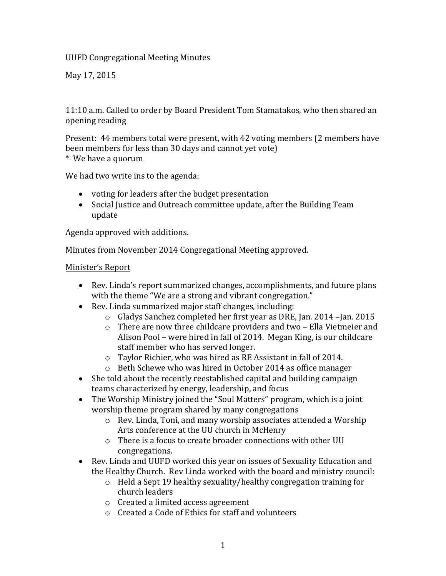UUFD Congregational Meeting Minutes

May 17, 2015

11:10 a.m. Called to order by Board President Tom Stamatakos, who then shared an opening reading

Present: 44 members total were present, with 42 voting members (2 members have been members for less than 30 days and cannot yet vote) \* We have a quorum

We had two write ins to the agenda:

- voting for leaders after the budget presentation
- Social Justice and Outreach committee update, after the Building Team update

Agenda approved with additions.

Minutes from November 2014 Congregational Meeting approved.

#### Minister's Report

- Rev. Linda's report summarized changes, accomplishments, and future plans with the theme "We are a strong and vibrant congregation."
- Rev. Linda summarized major staff changes, including:
	- o Gladys Sanchez completed her first year as DRE, Jan. 2014 –Jan. 2015
	- o There are now three childcare providers and two Ella Vietmeier and Alison Pool – were hired in fall of 2014. Megan King, is our childcare staff member who has served longer.
	- o Taylor Richier, who was hired as RE Assistant in fall of 2014.
	- o Beth Schewe who was hired in October 2014 as office manager
- She told about the recently reestablished capital and building campaign teams characterized by energy, leadership, and focus
- The Worship Ministry joined the "Soul Matters" program, which is a joint worship theme program shared by many congregations
	- o Rev. Linda, Toni, and many worship associates attended a Worship Arts conference at the UU church in McHenry
	- o There is a focus to create broader connections with other UU congregations.
- Rev. Linda and UUFD worked this year on issues of Sexuality Education and the Healthy Church. Rev Linda worked with the board and ministry council:
	- o Held a Sept 19 healthy sexuality/healthy congregation training for church leaders
	- o Created a limited access agreement
	- o Created a Code of Ethics for staff and volunteers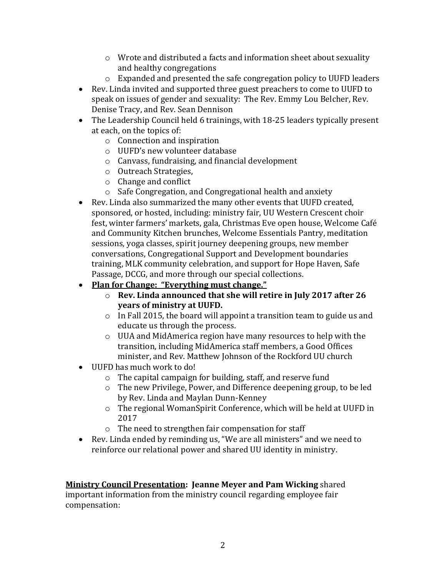- o Wrote and distributed a facts and information sheet about sexuality and healthy congregations
- o Expanded and presented the safe congregation policy to UUFD leaders
- Rev. Linda invited and supported three guest preachers to come to UUFD to speak on issues of gender and sexuality: The Rev. Emmy Lou Belcher, Rev. Denise Tracy, and Rev. Sean Dennison
- The Leadership Council held 6 trainings, with 18-25 leaders typically present at each, on the topics of:
	- o Connection and inspiration
	- o UUFD's new volunteer database
	- o Canvass, fundraising, and financial development
	- o Outreach Strategies,
	- o Change and conflict
	- o Safe Congregation, and Congregational health and anxiety
- Rev. Linda also summarized the many other events that UUFD created, sponsored, or hosted, including: ministry fair, UU Western Crescent choir fest, winter farmers' markets, gala, Christmas Eve open house, Welcome Café and Community Kitchen brunches, Welcome Essentials Pantry, meditation sessions, yoga classes, spirit journey deepening groups, new member conversations, Congregational Support and Development boundaries training, MLK community celebration, and support for Hope Haven, Safe Passage, DCCG, and more through our special collections.
- **Plan for Change: "Everything must change."**
	- o **Rev. Linda announced that she will retire in July 2017 after 26 years of ministry at UUFD.**
	- o In Fall 2015, the board will appoint a transition team to guide us and educate us through the process.
	- o UUA and MidAmerica region have many resources to help with the transition, including MidAmerica staff members, a Good Offices minister, and Rev. Matthew Johnson of the Rockford UU church
- UUFD has much work to do!
	- o The capital campaign for building, staff, and reserve fund
	- o The new Privilege, Power, and Difference deepening group, to be led by Rev. Linda and Maylan Dunn-Kenney
	- o The regional WomanSpirit Conference, which will be held at UUFD in 2017
	- o The need to strengthen fair compensation for staff
- Rev. Linda ended by reminding us, "We are all ministers" and we need to reinforce our relational power and shared UU identity in ministry.

**Ministry Council Presentation: Jeanne Meyer and Pam Wicking** shared important information from the ministry council regarding employee fair compensation: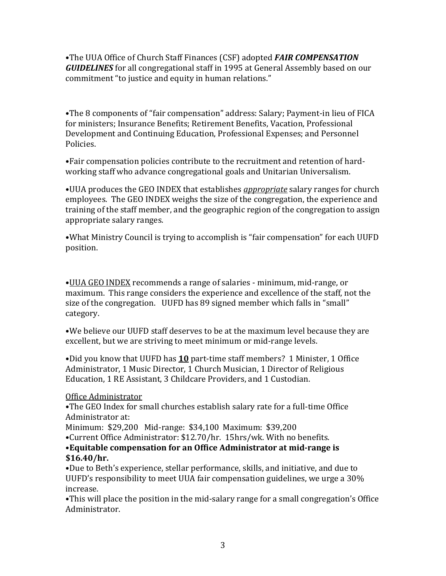•The UUA Office of Church Staff Finances (CSF) adopted *FAIR COMPENSATION GUIDELINES* for all congregational staff in 1995 at General Assembly based on our commitment "to justice and equity in human relations."

•The 8 components of "fair compensation" address: Salary; Payment-in lieu of FICA for ministers; Insurance Benefits; Retirement Benefits, Vacation, Professional Development and Continuing Education, Professional Expenses; and Personnel Policies.

•Fair compensation policies contribute to the recruitment and retention of hardworking staff who advance congregational goals and Unitarian Universalism.

•UUA produces the GEO INDEX that establishes *appropriate* salary ranges for church employees. The GEO INDEX weighs the size of the congregation, the experience and training of the staff member, and the geographic region of the congregation to assign appropriate salary ranges.

•What Ministry Council is trying to accomplish is "fair compensation" for each UUFD position.

•UUA GEO INDEX recommends a range of salaries - minimum, mid-range, or maximum. This range considers the experience and excellence of the staff, not the size of the congregation. UUFD has 89 signed member which falls in "small" category.

•We believe our UUFD staff deserves to be at the maximum level because they are excellent, but we are striving to meet minimum or mid-range levels.

•Did you know that UUFD has **10** part-time staff members? 1 Minister, 1 Office Administrator, 1 Music Director, 1 Church Musician, 1 Director of Religious Education, 1 RE Assistant, 3 Childcare Providers, and 1 Custodian.

## Office Administrator

•The GEO Index for small churches establish salary rate for a full-time Office Administrator at:

Minimum: \$29,200 Mid-range: \$34,100 Maximum: \$39,200

•Current Office Administrator: \$12.70/hr. 15hrs/wk. With no benefits.

### •**Equitable compensation for an Office Administrator at mid-range is \$16.40/hr.**

•Due to Beth's experience, stellar performance, skills, and initiative, and due to UUFD's responsibility to meet UUA fair compensation guidelines, we urge a 30% increase.

•This will place the position in the mid-salary range for a small congregation's Office Administrator.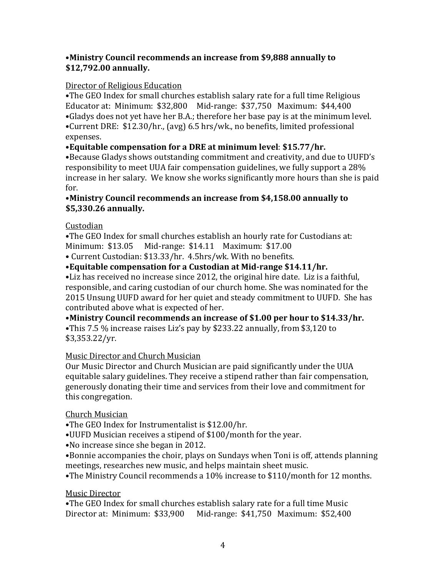## •**Ministry Council recommends an increase from \$9,888 annually to \$12,792.00 annually.**

## Director of Religious Education

•The GEO Index for small churches establish salary rate for a full time Religious Educator at: Minimum: \$32,800 Mid-range: \$37,750 Maximum: \$44,400 •Gladys does not yet have her B.A.; therefore her base pay is at the minimum level. •Current DRE: \$12.30/hr., (avg) 6.5 hrs/wk., no benefits, limited professional expenses.

## •**Equitable compensation for a DRE at minimum level**: **\$15.77/hr.**

•Because Gladys shows outstanding commitment and creativity, and due to UUFD's responsibility to meet UUA fair compensation guidelines, we fully support a 28% increase in her salary. We know she works significantly more hours than she is paid for.

### •**Ministry Council recommends an increase from \$4,158.00 annually to \$5,330.26 annually.**

## Custodian

•The GEO Index for small churches establish an hourly rate for Custodians at: Minimum: \$13.05 Mid-range: \$14.11 Maximum: \$17.00

• Current Custodian: \$13.33/hr. 4.5hrs/wk. With no benefits.

## •**Equitable compensation for a Custodian at Mid-range \$14.11/hr.**

•Liz has received no increase since 2012, the original hire date. Liz is a faithful, responsible, and caring custodian of our church home. She was nominated for the 2015 Unsung UUFD award for her quiet and steady commitment to UUFD. She has contributed above what is expected of her.

•**Ministry Council recommends an increase of \$1.00 per hour to \$14.33/hr.**

•This 7.5 % increase raises Liz's pay by \$233.22 annually, from \$3,120 to \$3,353.22/yr.

## Music Director and Church Musician

Our Music Director and Church Musician are paid significantly under the UUA equitable salary guidelines. They receive a stipend rather than fair compensation, generously donating their time and services from their love and commitment for this congregation.

### Church Musician

•The GEO Index for Instrumentalist is \$12.00/hr.

•UUFD Musician receives a stipend of \$100/month for the year.

•No increase since she began in 2012.

•Bonnie accompanies the choir, plays on Sundays when Toni is off, attends planning meetings, researches new music, and helps maintain sheet music.

•The Ministry Council recommends a 10% increase to \$110/month for 12 months.

### Music Director

•The GEO Index for small churches establish salary rate for a full time Music Director at: Minimum: \$33,900 Mid-range: \$41,750 Maximum: \$52,400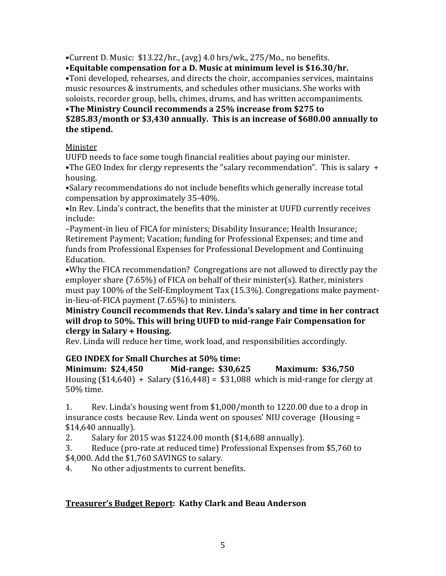•Current D. Music:  $$13.22/hr$ , (avg) 4.0 hrs/wk., 275/Mo., no benefits.

•**Equitable compensation for a D. Music at minimum level is \$16.30/hr.** 

•Toni developed, rehearses, and directs the choir, accompanies services, maintains music resources & instruments, and schedules other musicians. She works with soloists, recorder group, bells, chimes, drums, and has written accompaniments.

# •**The Ministry Council recommends a 25% increase from \$275 to**

### **\$285.83/month or \$3,430 annually. This is an increase of \$680.00 annually to the stipend.**

## Minister

UUFD needs to face some tough financial realities about paying our minister. •The GEO Index for clergy represents the "salary recommendation". This is salary + housing.

•Salary recommendations do not include benefits which generally increase total compensation by approximately 35-40%.

•In Rev. Linda's contract, the benefits that the minister at UUFD currently receives include:

–Payment-in lieu of FICA for ministers; Disability Insurance; Health Insurance; Retirement Payment; Vacation; funding for Professional Expenses; and time and funds from Professional Expenses for Professional Development and Continuing Education.

•Why the FICA recommendation? Congregations are not allowed to directly pay the employer share (7.65%) of FICA on behalf of their minister(s). Rather, ministers must pay 100% of the Self-Employment Tax (15.3%). Congregations make paymentin-lieu-of-FICA payment (7.65%) to ministers.

## **Ministry Council recommends that Rev. Linda's salary and time in her contract will drop to 50%. This will bring UUFD to mid-range Fair Compensation for clergy in Salary + Housing.**

Rev. Linda will reduce her time, work load, and responsibilities accordingly.

# **GEO INDEX for Small Churches at 50% time:**

**Minimum: \$24,450 Mid-range: \$30,625 Maximum: \$36,750**  Housing  $(\$14,640) +$  Salary  $(\$16,448) = \$31,088$  which is mid-range for clergy at 50% time.

1. Rev. Linda's housing went from \$1,000/month to 1220.00 due to a drop in insurance costs because Rev. Linda went on spouses' NIU coverage (Housing = \$14,640 annually).

2. Salary for 2015 was \$1224.00 month (\$14,688 annually).

3. Reduce (pro-rate at reduced time) Professional Expenses from \$5,760 to \$4,000. Add the \$1,760 SAVINGS to salary.

4. No other adjustments to current benefits.

# **Treasurer's Budget Report: Kathy Clark and Beau Anderson**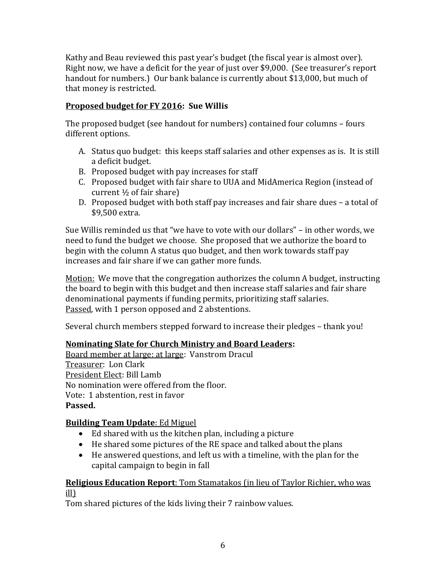Kathy and Beau reviewed this past year's budget (the fiscal year is almost over). Right now, we have a deficit for the year of just over \$9,000. (See treasurer's report handout for numbers.) Our bank balance is currently about \$13,000, but much of that money is restricted.

## **Proposed budget for FY 2016: Sue Willis**

The proposed budget (see handout for numbers) contained four columns – fours different options.

- A. Status quo budget: this keeps staff salaries and other expenses as is. It is still a deficit budget.
- B. Proposed budget with pay increases for staff
- C. Proposed budget with fair share to UUA and MidAmerica Region (instead of current ½ of fair share)
- D. Proposed budget with both staff pay increases and fair share dues a total of \$9,500 extra.

Sue Willis reminded us that "we have to vote with our dollars" – in other words, we need to fund the budget we choose. She proposed that we authorize the board to begin with the column A status quo budget, and then work towards staff pay increases and fair share if we can gather more funds.

Motion: We move that the congregation authorizes the column A budget, instructing the board to begin with this budget and then increase staff salaries and fair share denominational payments if funding permits, prioritizing staff salaries. Passed, with 1 person opposed and 2 abstentions.

Several church members stepped forward to increase their pledges – thank you!

# **Nominating Slate for Church Ministry and Board Leaders:**

Board member at large: at large: Vanstrom Dracul Treasurer: Lon Clark President Elect: Bill Lamb No nomination were offered from the floor. Vote: 1 abstention, rest in favor **Passed.**

# **Building Team Update**: Ed Miguel

- Ed shared with us the kitchen plan, including a picture
- He shared some pictures of the RE space and talked about the plans
- He answered questions, and left us with a timeline, with the plan for the capital campaign to begin in fall

## **Religious Education Report**: Tom Stamatakos (in lieu of Taylor Richier, who was ill)

Tom shared pictures of the kids living their 7 rainbow values.